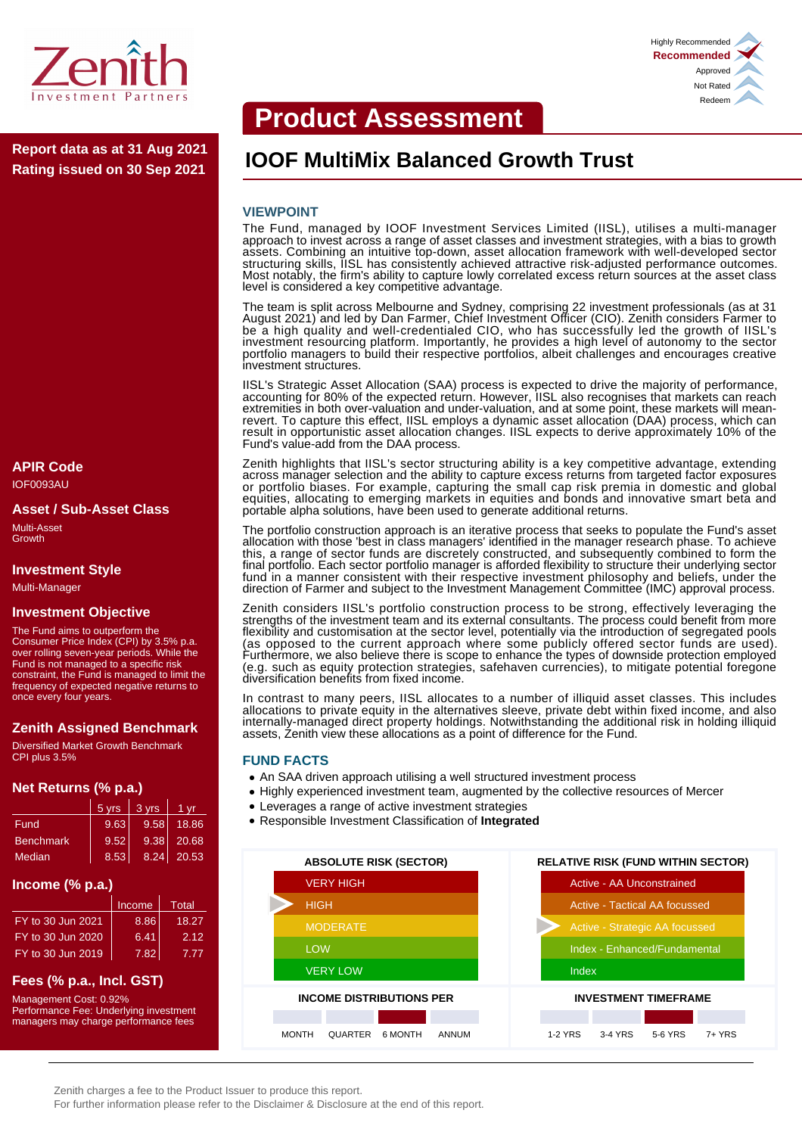

**Rating issued on 30 Sep 2021**

# **APIR Code**

IOF0093AU

#### **Asset / Sub-Asset Class**

Multi-Asset **Growth** 

#### **Investment Style**

Multi-Manager

### **Investment Objective**

The Fund aims to outperform the Consumer Price Index (CPI) by 3.5% p.a. over rolling seven-year periods. While the Fund is not managed to a specific risk constraint, the Fund is managed to limit the frequency of expected negative returns to once every four years.

## **Zenith Assigned Benchmark**

Diversified Market Growth Benchmark CPI plus 3.5%

#### **Net Returns (% p.a.)**

|                  | 5 yrs | 3 yrs | 1 vr       |
|------------------|-------|-------|------------|
| Fund             | 9.63  | 9.58  | 18.86      |
| <b>Benchmark</b> | 9.52  | 9.38  | 20.68      |
| <b>Median</b>    | 8.53  |       | 8.24 20.53 |

#### **Income (% p.a.)**

|                   | Income            | Total |
|-------------------|-------------------|-------|
| FY to 30 Jun 2021 | 8.86              | 18.27 |
| FY to 30 Jun 2020 | 6.41              | 2.12  |
| FY to 30 Jun 2019 | 7.82 <sub>1</sub> | 7 77  |

## **Fees (% p.a., Incl. GST)**

Management Cost: 0.92% Performance Fee: Underlying investment managers may charge performance fees

# **Product Assessment**

# **IOOF MultiMix Balanced Growth Trust Report data as at 31 Aug 2021**

#### **VIEWPOINT**

The Fund, managed by IOOF Investment Services Limited (IISL), utilises a multi-manager approach to invest across a range of asset classes and investment strategies, with a bias to growth assets. Combining an intuitive top-down, asset allocation framework with well-developed sector structuring skills, IISL has consistently achieved attractive risk-adjusted performance outcomes. Most notably, the firm's ability to capture lowly correlated excess return sources at the asset class level is considered a key competitive advantage.

The team is split across Melbourne and Sydney, comprising 22 investment professionals (as at 31 August 2021) and led by Dan Farmer, Chief Investment Officer (CIO). Zenith considers Farmer to be a high quality and well-credentialed CIO, who has successfully led the growth of IISL's investment resourcing platform. Importantly, he provides a high level of autonomy to the sector portfolio managers to build their respective portfolios, albeit challenges and encourages creative investment structures.

IISL's Strategic Asset Allocation (SAA) process is expected to drive the majority of performance, accounting for 80% of the expected return. However, IISL also recognises that markets can reach extremities in both over-valuation and under-valuation, and at some point, these markets will meanrevert. To capture this effect, IISL employs a dynamic asset allocation (DAA) process, which can result in opportunistic asset allocation changes. IISL expects to derive approximately 10% of the Fund's value-add from the DAA process.

Zenith highlights that IISL's sector structuring ability is a key competitive advantage, extending across manager selection and the ability to capture excess returns from targeted factor exposures or portfolio biases. For example, capturing the small cap risk premia in domestic and global equities, allocating to emerging markets in equities and bonds and innovative smart beta and portable alpha solutions, have been used to generate additional returns.

The portfolio construction approach is an iterative process that seeks to populate the Fund's asset allocation with those 'best in class managers' identified in the manager research phase. To achieve this, a range of sector funds are discretely constructed, and subsequently combined to form the final portfolio. Each sector portfolio manager is afforded flexibility to structure their underlying sector fund in a manner consistent with their respective investment philosophy and beliefs, under the direction of Farmer and subject to the Investment Management Committee (IMC) approval process.

Zenith considers IISL's portfolio construction process to be strong, effectively leveraging the strengths of the investment team and its external consultants. The process could benefit from more flexibility and customisation at the sector level, potentially via the introduction of segregated pools (as opposed to the current approach where some publicly offered sector funds are used). Furthermore, we also believe there is scope to enhance the types of downside protection employed (e.g. such as equity protection strategies, safehaven currencies), to mitigate potential foregone diversification benefits from fixed income.

In contrast to many peers, IISL allocates to a number of illiquid asset classes. This includes allocations to private equity in the alternatives sleeve, private debt within fixed income, and also internally-managed direct property holdings. Notwithstanding the additional risk in holding illiquid assets, Zenith view these allocations as a point of difference for the Fund.

#### **FUND FACTS**

- An SAA driven approach utilising a well structured investment process
- Highly experienced investment team, augmented by the collective resources of Mercer
- Leverages a range of active investment strategies
- Responsible Investment Classification of **Integrated**



Highly Recommended **Recommended** Approved Not Rated Redeem

Zenith charges a fee to the Product Issuer to produce this report.

For further information please refer to the Disclaimer & Disclosure at the end of this report.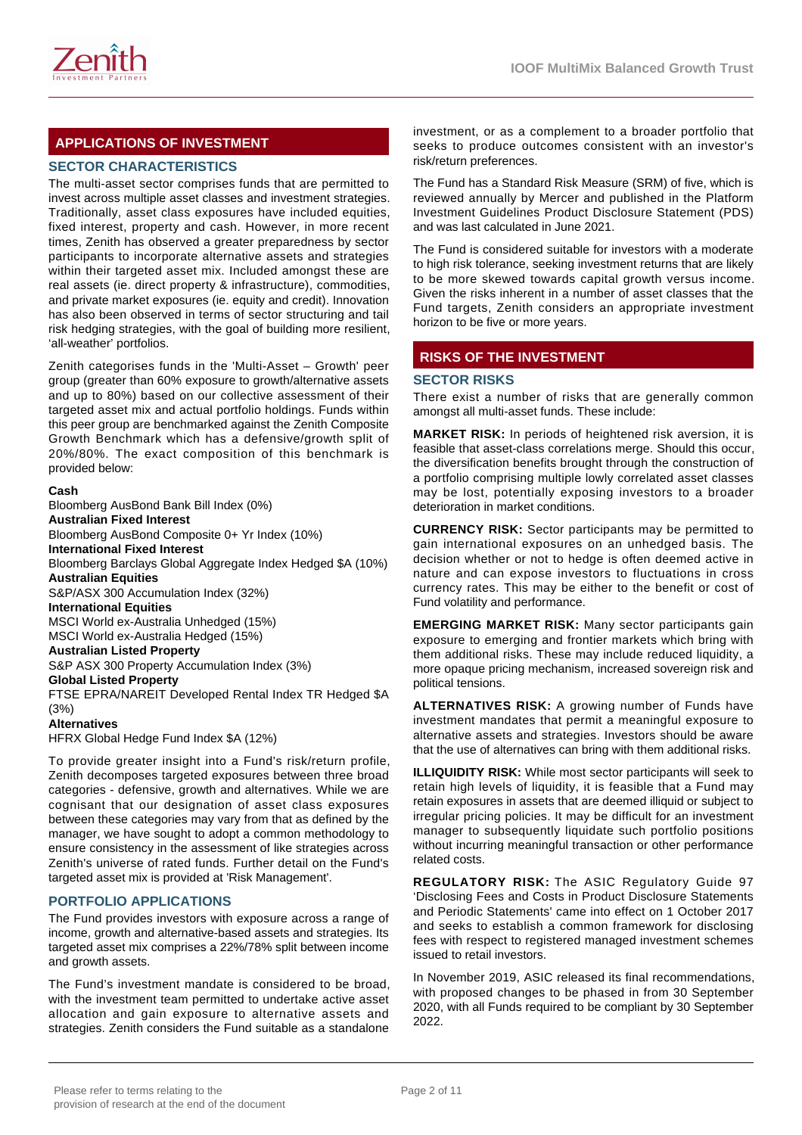

# **APPLICATIONS OF INVESTMENT**

## **SECTOR CHARACTERISTICS**

The multi-asset sector comprises funds that are permitted to invest across multiple asset classes and investment strategies. Traditionally, asset class exposures have included equities, fixed interest, property and cash. However, in more recent times, Zenith has observed a greater preparedness by sector participants to incorporate alternative assets and strategies within their targeted asset mix. Included amongst these are real assets (ie. direct property & infrastructure), commodities, and private market exposures (ie. equity and credit). Innovation has also been observed in terms of sector structuring and tail risk hedging strategies, with the goal of building more resilient, 'all-weather' portfolios.

Zenith categorises funds in the 'Multi-Asset – Growth' peer group (greater than 60% exposure to growth/alternative assets and up to 80%) based on our collective assessment of their targeted asset mix and actual portfolio holdings. Funds within this peer group are benchmarked against the Zenith Composite Growth Benchmark which has a defensive/growth split of 20%/80%. The exact composition of this benchmark is provided below:

#### **Cash**

Bloomberg AusBond Bank Bill Index (0%) **Australian Fixed Interest** Bloomberg AusBond Composite 0+ Yr Index (10%) **International Fixed Interest** Bloomberg Barclays Global Aggregate Index Hedged \$A (10%) **Australian Equities** S&P/ASX 300 Accumulation Index (32%) **International Equities** MSCI World ex-Australia Unhedged (15%) MSCI World ex-Australia Hedged (15%) **Australian Listed Property** S&P ASX 300 Property Accumulation Index (3%) **Global Listed Property** FTSE EPRA/NAREIT Developed Rental Index TR Hedged \$A (3%)

#### **Alternatives**

HFRX Global Hedge Fund Index \$A (12%)

To provide greater insight into a Fund's risk/return profile, Zenith decomposes targeted exposures between three broad categories - defensive, growth and alternatives. While we are cognisant that our designation of asset class exposures between these categories may vary from that as defined by the manager, we have sought to adopt a common methodology to ensure consistency in the assessment of like strategies across Zenith's universe of rated funds. Further detail on the Fund's targeted asset mix is provided at 'Risk Management'.

## **PORTFOLIO APPLICATIONS**

The Fund provides investors with exposure across a range of income, growth and alternative-based assets and strategies. Its targeted asset mix comprises a 22%/78% split between income and growth assets.

The Fund's investment mandate is considered to be broad, with the investment team permitted to undertake active asset allocation and gain exposure to alternative assets and strategies. Zenith considers the Fund suitable as a standalone investment, or as a complement to a broader portfolio that seeks to produce outcomes consistent with an investor's risk/return preferences.

The Fund has a Standard Risk Measure (SRM) of five, which is reviewed annually by Mercer and published in the Platform Investment Guidelines Product Disclosure Statement (PDS) and was last calculated in June 2021.

The Fund is considered suitable for investors with a moderate to high risk tolerance, seeking investment returns that are likely to be more skewed towards capital growth versus income. Given the risks inherent in a number of asset classes that the Fund targets, Zenith considers an appropriate investment horizon to be five or more years.

## **RISKS OF THE INVESTMENT**

#### **SECTOR RISKS**

There exist a number of risks that are generally common amongst all multi-asset funds. These include:

**MARKET RISK:** In periods of heightened risk aversion, it is feasible that asset-class correlations merge. Should this occur, the diversification benefits brought through the construction of a portfolio comprising multiple lowly correlated asset classes may be lost, potentially exposing investors to a broader deterioration in market conditions.

**CURRENCY RISK:** Sector participants may be permitted to gain international exposures on an unhedged basis. The decision whether or not to hedge is often deemed active in nature and can expose investors to fluctuations in cross currency rates. This may be either to the benefit or cost of Fund volatility and performance.

**EMERGING MARKET RISK:** Many sector participants gain exposure to emerging and frontier markets which bring with them additional risks. These may include reduced liquidity, a more opaque pricing mechanism, increased sovereign risk and political tensions.

**ALTERNATIVES RISK:** A growing number of Funds have investment mandates that permit a meaningful exposure to alternative assets and strategies. Investors should be aware that the use of alternatives can bring with them additional risks.

**ILLIQUIDITY RISK:** While most sector participants will seek to retain high levels of liquidity, it is feasible that a Fund may retain exposures in assets that are deemed illiquid or subject to irregular pricing policies. It may be difficult for an investment manager to subsequently liquidate such portfolio positions without incurring meaningful transaction or other performance related costs.

**REGULATORY RISK:** The ASIC Regulatory Guide 97 'Disclosing Fees and Costs in Product Disclosure Statements and Periodic Statements' came into effect on 1 October 2017 and seeks to establish a common framework for disclosing fees with respect to registered managed investment schemes issued to retail investors.

In November 2019, ASIC released its final recommendations, with proposed changes to be phased in from 30 September 2020, with all Funds required to be compliant by 30 September 2022.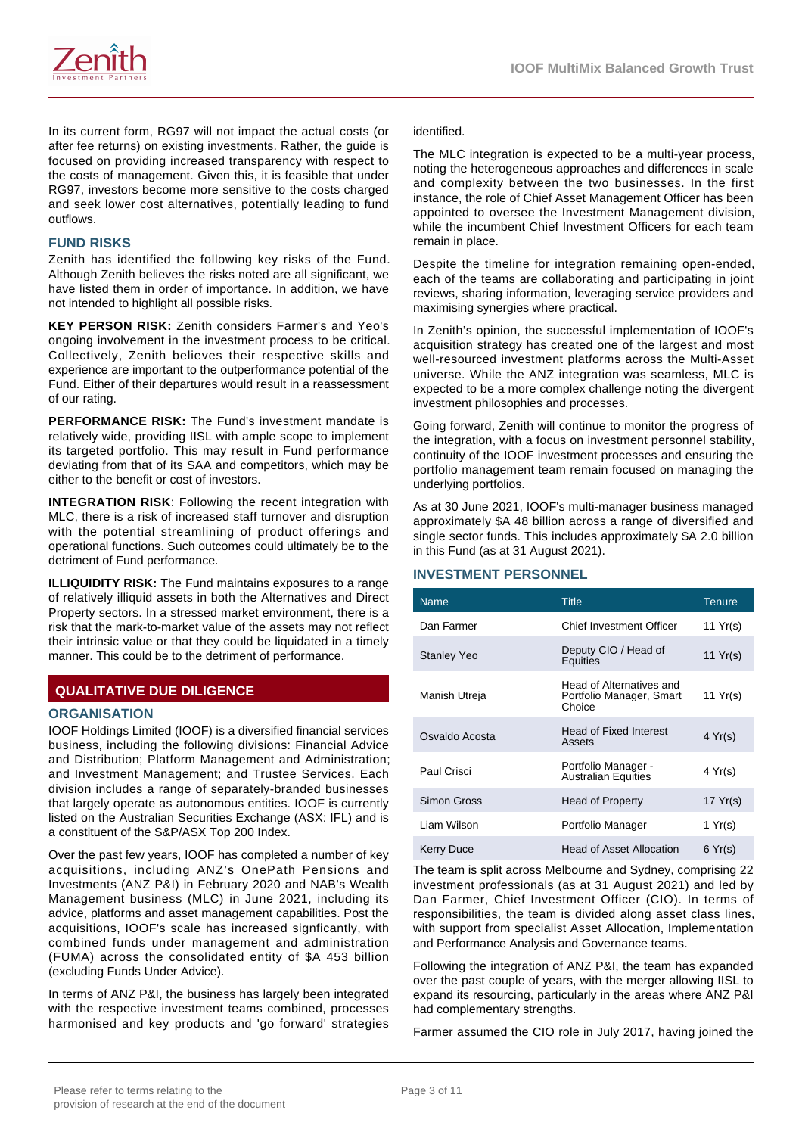

In its current form, RG97 will not impact the actual costs (or after fee returns) on existing investments. Rather, the guide is focused on providing increased transparency with respect to the costs of management. Given this, it is feasible that under RG97, investors become more sensitive to the costs charged and seek lower cost alternatives, potentially leading to fund outflows.

#### **FUND RISKS**

Zenith has identified the following key risks of the Fund. Although Zenith believes the risks noted are all significant, we have listed them in order of importance. In addition, we have not intended to highlight all possible risks.

**KEY PERSON RISK:** Zenith considers Farmer's and Yeo's ongoing involvement in the investment process to be critical. Collectively, Zenith believes their respective skills and experience are important to the outperformance potential of the Fund. Either of their departures would result in a reassessment of our rating.

**PERFORMANCE RISK:** The Fund's investment mandate is relatively wide, providing IISL with ample scope to implement its targeted portfolio. This may result in Fund performance deviating from that of its SAA and competitors, which may be either to the benefit or cost of investors.

**INTEGRATION RISK**: Following the recent integration with MLC, there is a risk of increased staff turnover and disruption with the potential streamlining of product offerings and operational functions. Such outcomes could ultimately be to the detriment of Fund performance.

**ILLIQUIDITY RISK:** The Fund maintains exposures to a range of relatively illiquid assets in both the Alternatives and Direct Property sectors. In a stressed market environment, there is a risk that the mark-to-market value of the assets may not reflect their intrinsic value or that they could be liquidated in a timely manner. This could be to the detriment of performance.

# **QUALITATIVE DUE DILIGENCE**

#### **ORGANISATION**

IOOF Holdings Limited (IOOF) is a diversified financial services business, including the following divisions: Financial Advice and Distribution; Platform Management and Administration; and Investment Management; and Trustee Services. Each division includes a range of separately-branded businesses that largely operate as autonomous entities. IOOF is currently listed on the Australian Securities Exchange (ASX: IFL) and is a constituent of the S&P/ASX Top 200 Index.

Over the past few years, IOOF has completed a number of key acquisitions, including ANZ's OnePath Pensions and Investments (ANZ P&I) in February 2020 and NAB's Wealth Management business (MLC) in June 2021, including its advice, platforms and asset management capabilities. Post the acquisitions, IOOF's scale has increased signficantly, with combined funds under management and administration (FUMA) across the consolidated entity of \$A 453 billion (excluding Funds Under Advice).

In terms of ANZ P&I, the business has largely been integrated with the respective investment teams combined, processes harmonised and key products and 'go forward' strategies

identified.

The MLC integration is expected to be a multi-year process, noting the heterogeneous approaches and differences in scale and complexity between the two businesses. In the first instance, the role of Chief Asset Management Officer has been appointed to oversee the Investment Management division, while the incumbent Chief Investment Officers for each team remain in place.

Despite the timeline for integration remaining open-ended, each of the teams are collaborating and participating in joint reviews, sharing information, leveraging service providers and maximising synergies where practical.

In Zenith's opinion, the successful implementation of IOOF's acquisition strategy has created one of the largest and most well-resourced investment platforms across the Multi-Asset universe. While the ANZ integration was seamless, MLC is expected to be a more complex challenge noting the divergent investment philosophies and processes.

Going forward, Zenith will continue to monitor the progress of the integration, with a focus on investment personnel stability, continuity of the IOOF investment processes and ensuring the portfolio management team remain focused on managing the underlying portfolios.

As at 30 June 2021, IOOF's multi-manager business managed approximately \$A 48 billion across a range of diversified and single sector funds. This includes approximately \$A 2.0 billion in this Fund (as at 31 August 2021).

#### **INVESTMENT PERSONNEL**

| <b>Name</b>        | <b>Title</b>                                                   | <b>Tenure</b>    |
|--------------------|----------------------------------------------------------------|------------------|
| Dan Farmer         | Chief Investment Officer                                       | 11 $Yr(s)$       |
| <b>Stanley Yeo</b> | Deputy CIO / Head of<br>Equities                               | 11 Yr(s)         |
| Manish Utreja      | Head of Alternatives and<br>Portfolio Manager, Smart<br>Choice | 11 Yr(s)         |
| Osvaldo Acosta     | <b>Head of Fixed Interest</b><br>Assets                        | $4 \text{Yr(s)}$ |
| Paul Crisci        | Portfolio Manager -<br><b>Australian Equities</b>              | 4 Yr(s)          |
| Simon Gross        | <b>Head of Property</b>                                        | 17 Yr(s)         |
| Liam Wilson        | Portfolio Manager                                              | 1 Yr(s)          |
| <b>Kerry Duce</b>  | <b>Head of Asset Allocation</b>                                | 6 Yr(s)          |

The team is split across Melbourne and Sydney, comprising 22 investment professionals (as at 31 August 2021) and led by Dan Farmer, Chief Investment Officer (CIO). In terms of responsibilities, the team is divided along asset class lines, with support from specialist Asset Allocation, Implementation and Performance Analysis and Governance teams.

Following the integration of ANZ P&I, the team has expanded over the past couple of years, with the merger allowing IISL to expand its resourcing, particularly in the areas where ANZ P&I had complementary strengths.

Farmer assumed the CIO role in July 2017, having joined the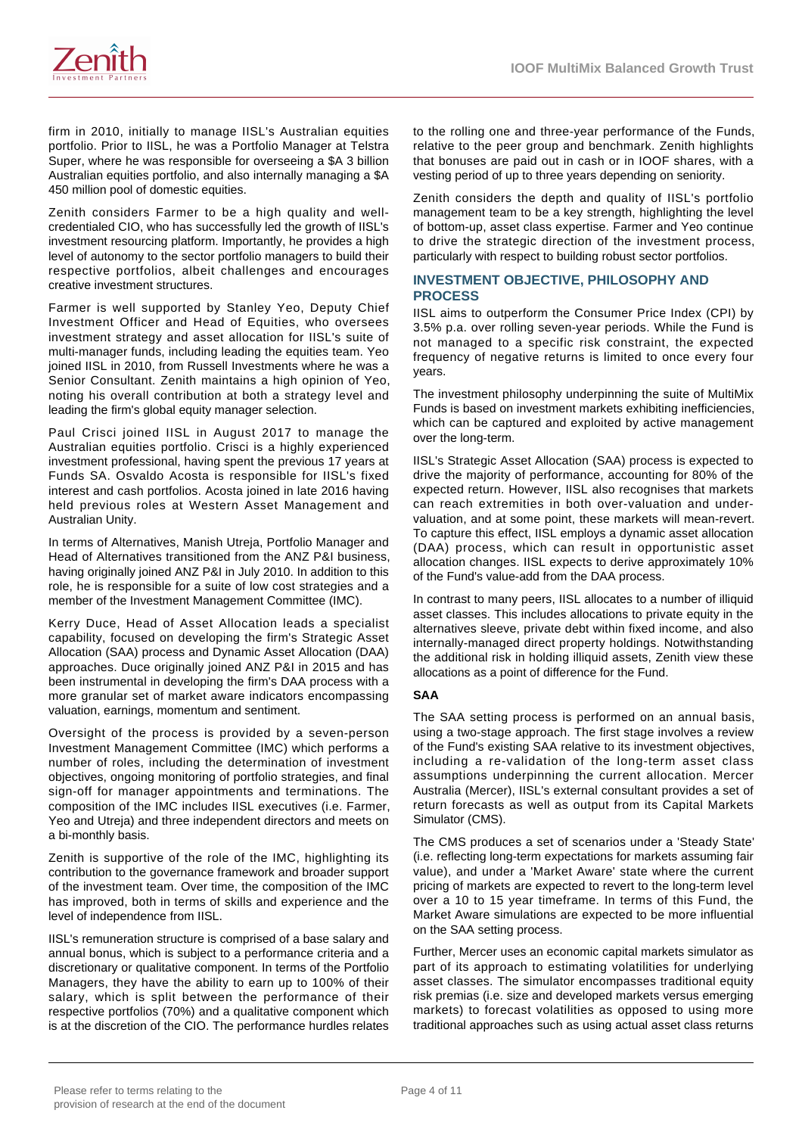

firm in 2010, initially to manage IISL's Australian equities portfolio. Prior to IISL, he was a Portfolio Manager at Telstra Super, where he was responsible for overseeing a \$A 3 billion Australian equities portfolio, and also internally managing a \$A 450 million pool of domestic equities.

Zenith considers Farmer to be a high quality and wellcredentialed CIO, who has successfully led the growth of IISL's investment resourcing platform. Importantly, he provides a high level of autonomy to the sector portfolio managers to build their respective portfolios, albeit challenges and encourages creative investment structures.

Farmer is well supported by Stanley Yeo, Deputy Chief Investment Officer and Head of Equities, who oversees investment strategy and asset allocation for IISL's suite of multi-manager funds, including leading the equities team. Yeo joined IISL in 2010, from Russell Investments where he was a Senior Consultant. Zenith maintains a high opinion of Yeo, noting his overall contribution at both a strategy level and leading the firm's global equity manager selection.

Paul Crisci joined IISL in August 2017 to manage the Australian equities portfolio. Crisci is a highly experienced investment professional, having spent the previous 17 years at Funds SA. Osvaldo Acosta is responsible for IISL's fixed interest and cash portfolios. Acosta joined in late 2016 having held previous roles at Western Asset Management and Australian Unity.

In terms of Alternatives, Manish Utreja, Portfolio Manager and Head of Alternatives transitioned from the ANZ P&I business, having originally joined ANZ P&I in July 2010. In addition to this role, he is responsible for a suite of low cost strategies and a member of the Investment Management Committee (IMC).

Kerry Duce, Head of Asset Allocation leads a specialist capability, focused on developing the firm's Strategic Asset Allocation (SAA) process and Dynamic Asset Allocation (DAA) approaches. Duce originally joined ANZ P&I in 2015 and has been instrumental in developing the firm's DAA process with a more granular set of market aware indicators encompassing valuation, earnings, momentum and sentiment.

Oversight of the process is provided by a seven-person Investment Management Committee (IMC) which performs a number of roles, including the determination of investment objectives, ongoing monitoring of portfolio strategies, and final sign-off for manager appointments and terminations. The composition of the IMC includes IISL executives (i.e. Farmer, Yeo and Utreja) and three independent directors and meets on a bi-monthly basis.

Zenith is supportive of the role of the IMC, highlighting its contribution to the governance framework and broader support of the investment team. Over time, the composition of the IMC has improved, both in terms of skills and experience and the level of independence from IISL.

IISL's remuneration structure is comprised of a base salary and annual bonus, which is subject to a performance criteria and a discretionary or qualitative component. In terms of the Portfolio Managers, they have the ability to earn up to 100% of their salary, which is split between the performance of their respective portfolios (70%) and a qualitative component which is at the discretion of the CIO. The performance hurdles relates to the rolling one and three-year performance of the Funds, relative to the peer group and benchmark. Zenith highlights that bonuses are paid out in cash or in IOOF shares, with a vesting period of up to three years depending on seniority.

Zenith considers the depth and quality of IISL's portfolio management team to be a key strength, highlighting the level of bottom-up, asset class expertise. Farmer and Yeo continue to drive the strategic direction of the investment process, particularly with respect to building robust sector portfolios.

## **INVESTMENT OBJECTIVE, PHILOSOPHY AND PROCESS**

IISL aims to outperform the Consumer Price Index (CPI) by 3.5% p.a. over rolling seven-year periods. While the Fund is not managed to a specific risk constraint, the expected frequency of negative returns is limited to once every four years.

The investment philosophy underpinning the suite of MultiMix Funds is based on investment markets exhibiting inefficiencies, which can be captured and exploited by active management over the long-term.

IISL's Strategic Asset Allocation (SAA) process is expected to drive the majority of performance, accounting for 80% of the expected return. However, IISL also recognises that markets can reach extremities in both over-valuation and undervaluation, and at some point, these markets will mean-revert. To capture this effect, IISL employs a dynamic asset allocation (DAA) process, which can result in opportunistic asset allocation changes. IISL expects to derive approximately 10% of the Fund's value-add from the DAA process.

In contrast to many peers, IISL allocates to a number of illiquid asset classes. This includes allocations to private equity in the alternatives sleeve, private debt within fixed income, and also internally-managed direct property holdings. Notwithstanding the additional risk in holding illiquid assets, Zenith view these allocations as a point of difference for the Fund.

## **SAA**

The SAA setting process is performed on an annual basis, using a two-stage approach. The first stage involves a review of the Fund's existing SAA relative to its investment objectives, including a re-validation of the long-term asset class assumptions underpinning the current allocation. Mercer Australia (Mercer), IISL's external consultant provides a set of return forecasts as well as output from its Capital Markets Simulator (CMS).

The CMS produces a set of scenarios under a 'Steady State' (i.e. reflecting long-term expectations for markets assuming fair value), and under a 'Market Aware' state where the current pricing of markets are expected to revert to the long-term level over a 10 to 15 year timeframe. In terms of this Fund, the Market Aware simulations are expected to be more influential on the SAA setting process.

Further, Mercer uses an economic capital markets simulator as part of its approach to estimating volatilities for underlying asset classes. The simulator encompasses traditional equity risk premias (i.e. size and developed markets versus emerging markets) to forecast volatilities as opposed to using more traditional approaches such as using actual asset class returns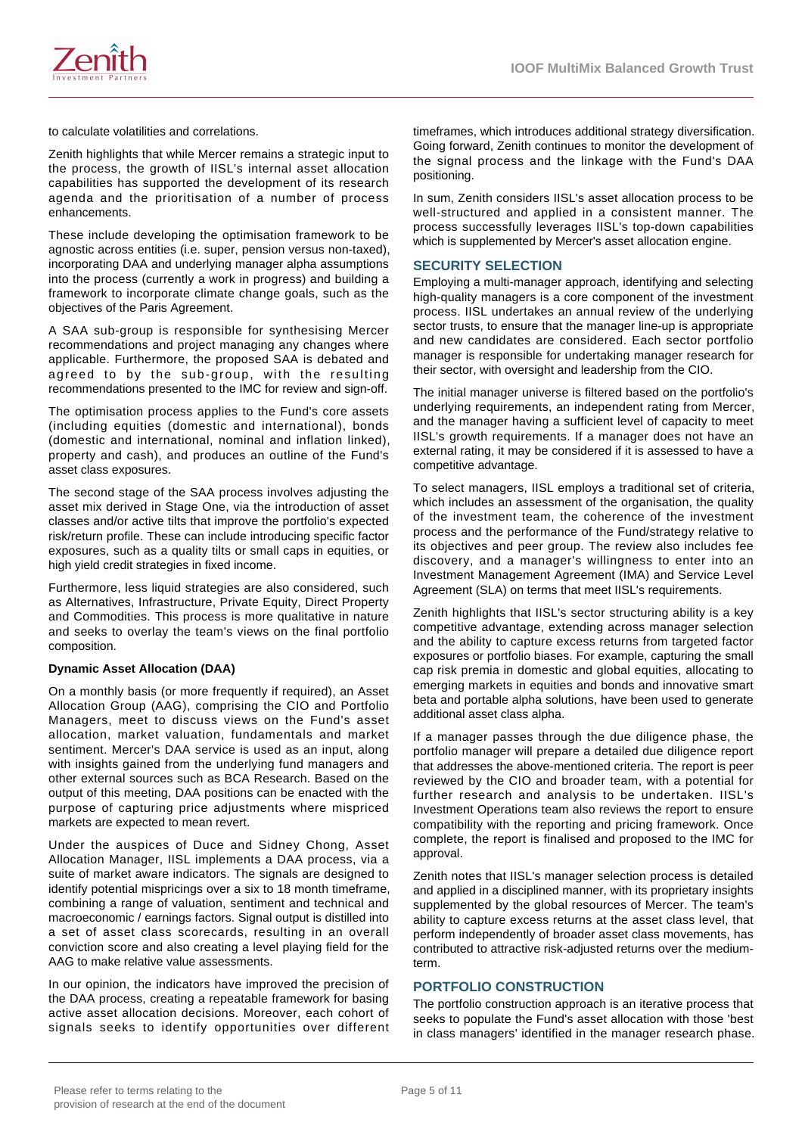

to calculate volatilities and correlations.

Zenith highlights that while Mercer remains a strategic input to the process, the growth of IISL's internal asset allocation capabilities has supported the development of its research agenda and the prioritisation of a number of process enhancements.

These include developing the optimisation framework to be agnostic across entities (i.e. super, pension versus non-taxed), incorporating DAA and underlying manager alpha assumptions into the process (currently a work in progress) and building a framework to incorporate climate change goals, such as the objectives of the Paris Agreement.

A SAA sub-group is responsible for synthesising Mercer recommendations and project managing any changes where applicable. Furthermore, the proposed SAA is debated and agreed to by the sub-group, with the resulting recommendations presented to the IMC for review and sign-off.

The optimisation process applies to the Fund's core assets (including equities (domestic and international), bonds (domestic and international, nominal and inflation linked), property and cash), and produces an outline of the Fund's asset class exposures.

The second stage of the SAA process involves adjusting the asset mix derived in Stage One, via the introduction of asset classes and/or active tilts that improve the portfolio's expected risk/return profile. These can include introducing specific factor exposures, such as a quality tilts or small caps in equities, or high yield credit strategies in fixed income.

Furthermore, less liquid strategies are also considered, such as Alternatives, Infrastructure, Private Equity, Direct Property and Commodities. This process is more qualitative in nature and seeks to overlay the team's views on the final portfolio composition.

#### **Dynamic Asset Allocation (DAA)**

On a monthly basis (or more frequently if required), an Asset Allocation Group (AAG), comprising the CIO and Portfolio Managers, meet to discuss views on the Fund's asset allocation, market valuation, fundamentals and market sentiment. Mercer's DAA service is used as an input, along with insights gained from the underlying fund managers and other external sources such as BCA Research. Based on the output of this meeting, DAA positions can be enacted with the purpose of capturing price adjustments where mispriced markets are expected to mean revert.

Under the auspices of Duce and Sidney Chong, Asset Allocation Manager, IISL implements a DAA process, via a suite of market aware indicators. The signals are designed to identify potential mispricings over a six to 18 month timeframe, combining a range of valuation, sentiment and technical and macroeconomic / earnings factors. Signal output is distilled into a set of asset class scorecards, resulting in an overall conviction score and also creating a level playing field for the AAG to make relative value assessments.

In our opinion, the indicators have improved the precision of the DAA process, creating a repeatable framework for basing active asset allocation decisions. Moreover, each cohort of signals seeks to identify opportunities over different timeframes, which introduces additional strategy diversification. Going forward, Zenith continues to monitor the development of the signal process and the linkage with the Fund's DAA positioning.

In sum, Zenith considers IISL's asset allocation process to be well-structured and applied in a consistent manner. The process successfully leverages IISL's top-down capabilities which is supplemented by Mercer's asset allocation engine.

#### **SECURITY SELECTION**

Employing a multi-manager approach, identifying and selecting high-quality managers is a core component of the investment process. IISL undertakes an annual review of the underlying sector trusts, to ensure that the manager line-up is appropriate and new candidates are considered. Each sector portfolio manager is responsible for undertaking manager research for their sector, with oversight and leadership from the CIO.

The initial manager universe is filtered based on the portfolio's underlying requirements, an independent rating from Mercer, and the manager having a sufficient level of capacity to meet IISL's growth requirements. If a manager does not have an external rating, it may be considered if it is assessed to have a competitive advantage.

To select managers, IISL employs a traditional set of criteria, which includes an assessment of the organisation, the quality of the investment team, the coherence of the investment process and the performance of the Fund/strategy relative to its objectives and peer group. The review also includes fee discovery, and a manager's willingness to enter into an Investment Management Agreement (IMA) and Service Level Agreement (SLA) on terms that meet IISL's requirements.

Zenith highlights that IISL's sector structuring ability is a key competitive advantage, extending across manager selection and the ability to capture excess returns from targeted factor exposures or portfolio biases. For example, capturing the small cap risk premia in domestic and global equities, allocating to emerging markets in equities and bonds and innovative smart beta and portable alpha solutions, have been used to generate additional asset class alpha.

If a manager passes through the due diligence phase, the portfolio manager will prepare a detailed due diligence report that addresses the above-mentioned criteria. The report is peer reviewed by the CIO and broader team, with a potential for further research and analysis to be undertaken. IISL's Investment Operations team also reviews the report to ensure compatibility with the reporting and pricing framework. Once complete, the report is finalised and proposed to the IMC for approval.

Zenith notes that IISL's manager selection process is detailed and applied in a disciplined manner, with its proprietary insights supplemented by the global resources of Mercer. The team's ability to capture excess returns at the asset class level, that perform independently of broader asset class movements, has contributed to attractive risk-adjusted returns over the mediumterm.

#### **PORTFOLIO CONSTRUCTION**

The portfolio construction approach is an iterative process that seeks to populate the Fund's asset allocation with those 'best in class managers' identified in the manager research phase.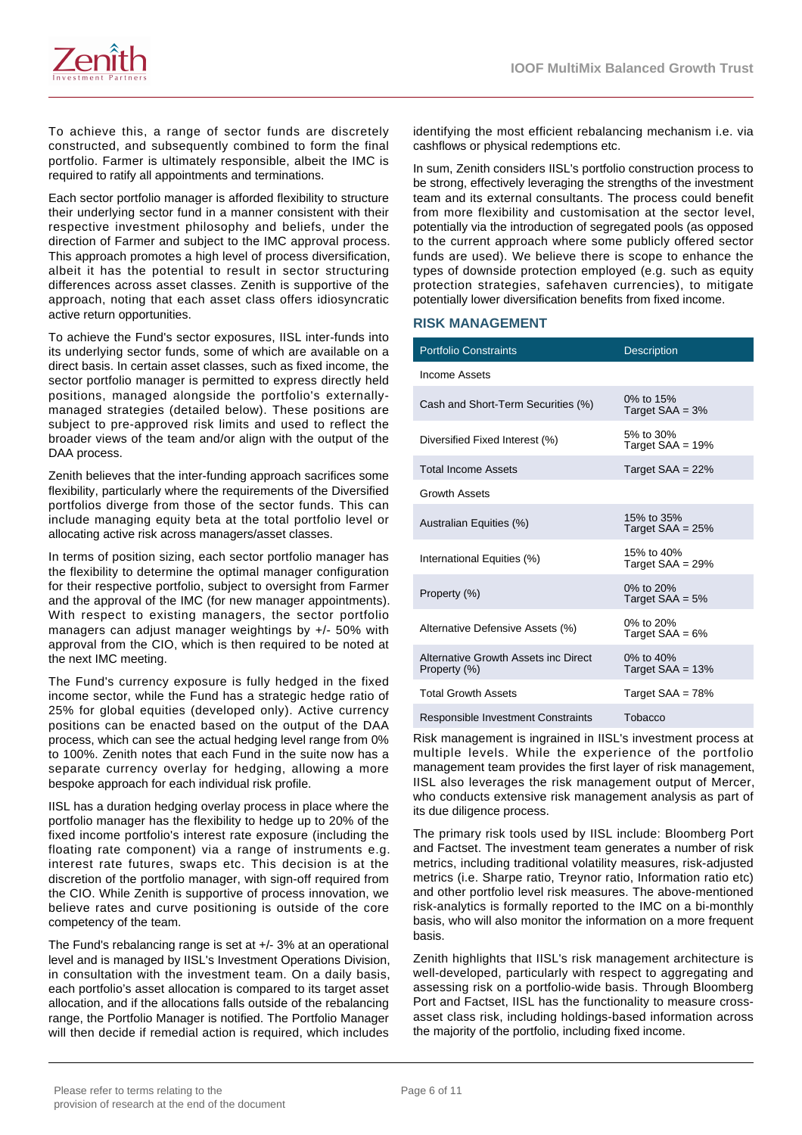

To achieve this, a range of sector funds are discretely constructed, and subsequently combined to form the final portfolio. Farmer is ultimately responsible, albeit the IMC is required to ratify all appointments and terminations.

Each sector portfolio manager is afforded flexibility to structure their underlying sector fund in a manner consistent with their respective investment philosophy and beliefs, under the direction of Farmer and subject to the IMC approval process. This approach promotes a high level of process diversification, albeit it has the potential to result in sector structuring differences across asset classes. Zenith is supportive of the approach, noting that each asset class offers idiosyncratic active return opportunities.

To achieve the Fund's sector exposures, IISL inter-funds into its underlying sector funds, some of which are available on a direct basis. In certain asset classes, such as fixed income, the sector portfolio manager is permitted to express directly held positions, managed alongside the portfolio's externallymanaged strategies (detailed below). These positions are subject to pre-approved risk limits and used to reflect the broader views of the team and/or align with the output of the DAA process.

Zenith believes that the inter-funding approach sacrifices some flexibility, particularly where the requirements of the Diversified portfolios diverge from those of the sector funds. This can include managing equity beta at the total portfolio level or allocating active risk across managers/asset classes.

In terms of position sizing, each sector portfolio manager has the flexibility to determine the optimal manager configuration for their respective portfolio, subject to oversight from Farmer and the approval of the IMC (for new manager appointments). With respect to existing managers, the sector portfolio managers can adjust manager weightings by +/- 50% with approval from the CIO, which is then required to be noted at the next IMC meeting.

The Fund's currency exposure is fully hedged in the fixed income sector, while the Fund has a strategic hedge ratio of 25% for global equities (developed only). Active currency positions can be enacted based on the output of the DAA process, which can see the actual hedging level range from 0% to 100%. Zenith notes that each Fund in the suite now has a separate currency overlay for hedging, allowing a more bespoke approach for each individual risk profile.

IISL has a duration hedging overlay process in place where the portfolio manager has the flexibility to hedge up to 20% of the fixed income portfolio's interest rate exposure (including the floating rate component) via a range of instruments e.g. interest rate futures, swaps etc. This decision is at the discretion of the portfolio manager, with sign-off required from the CIO. While Zenith is supportive of process innovation, we believe rates and curve positioning is outside of the core competency of the team.

The Fund's rebalancing range is set at +/- 3% at an operational level and is managed by IISL's Investment Operations Division, in consultation with the investment team. On a daily basis, each portfolio's asset allocation is compared to its target asset allocation, and if the allocations falls outside of the rebalancing range, the Portfolio Manager is notified. The Portfolio Manager will then decide if remedial action is required, which includes identifying the most efficient rebalancing mechanism i.e. via cashflows or physical redemptions etc.

In sum, Zenith considers IISL's portfolio construction process to be strong, effectively leveraging the strengths of the investment team and its external consultants. The process could benefit from more flexibility and customisation at the sector level, potentially via the introduction of segregated pools (as opposed to the current approach where some publicly offered sector funds are used). We believe there is scope to enhance the types of downside protection employed (e.g. such as equity protection strategies, safehaven currencies), to mitigate potentially lower diversification benefits from fixed income.

## **RISK MANAGEMENT**

| <b>Portfolio Constraints</b>                         | <b>Description</b>                |
|------------------------------------------------------|-----------------------------------|
| Income Assets                                        |                                   |
| Cash and Short-Term Securities (%)                   | 0% to 15%<br>Target $SAA = 3%$    |
| Diversified Fixed Interest (%)                       | 5% to 30%<br>Target $SAA = 19%$   |
| <b>Total Income Assets</b>                           | Target $SAA = 22%$                |
| <b>Growth Assets</b>                                 |                                   |
| Australian Equities (%)                              | 15% to 35%<br>Target $SAA = 25%$  |
| International Equities (%)                           | 15% to 40%<br>Target $SAA = 29\%$ |
| Property (%)                                         | 0% to $20%$<br>Target $SAA = 5%$  |
| Alternative Defensive Assets (%)                     | 0% to 20%<br>Target $SAA = 6%$    |
| Alternative Growth Assets inc Direct<br>Property (%) | 0% to 40%<br>Target $SAA = 13%$   |
| <b>Total Growth Assets</b>                           | Target $SAA = 78%$                |
| Responsible Investment Constraints                   | Tobacco                           |

Risk management is ingrained in IISL's investment process at multiple levels. While the experience of the portfolio management team provides the first layer of risk management, IISL also leverages the risk management output of Mercer, who conducts extensive risk management analysis as part of its due diligence process.

The primary risk tools used by IISL include: Bloomberg Port and Factset. The investment team generates a number of risk metrics, including traditional volatility measures, risk-adjusted metrics (i.e. Sharpe ratio, Treynor ratio, Information ratio etc) and other portfolio level risk measures. The above-mentioned risk-analytics is formally reported to the IMC on a bi-monthly basis, who will also monitor the information on a more frequent basis.

Zenith highlights that IISL's risk management architecture is well-developed, particularly with respect to aggregating and assessing risk on a portfolio-wide basis. Through Bloomberg Port and Factset, IISL has the functionality to measure crossasset class risk, including holdings-based information across the majority of the portfolio, including fixed income.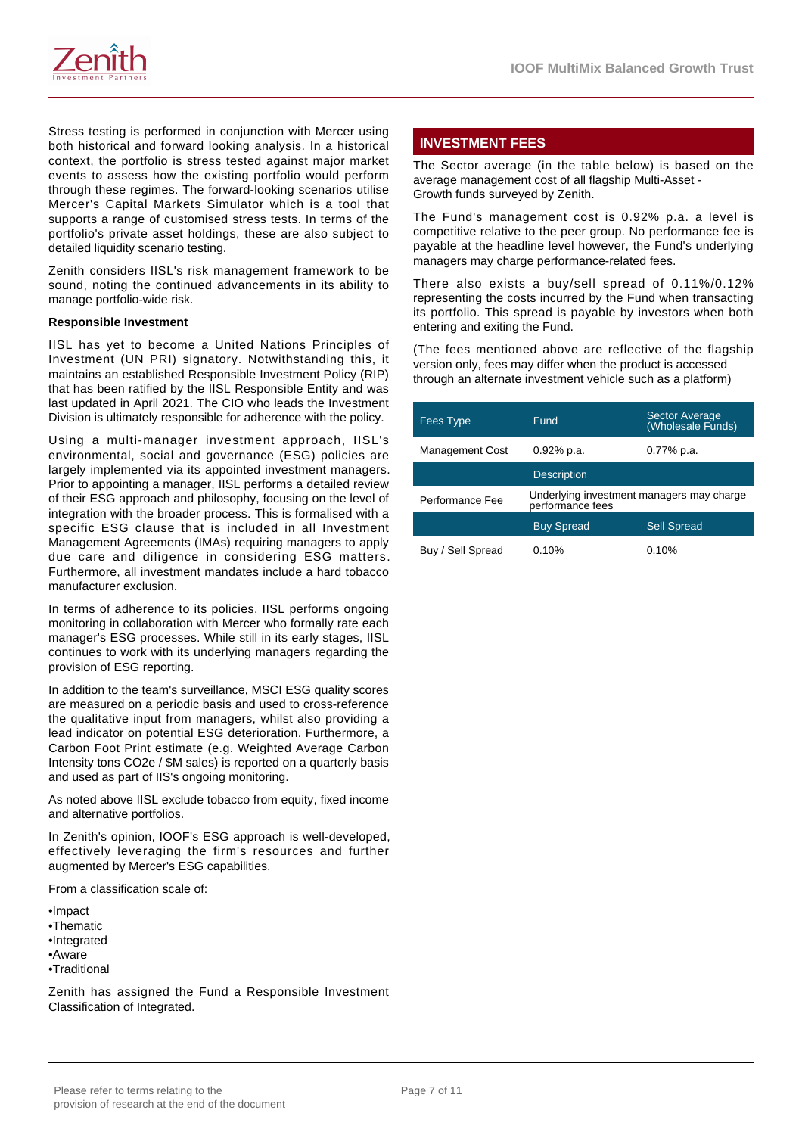



Stress testing is performed in conjunction with Mercer using both historical and forward looking analysis. In a historical context, the portfolio is stress tested against major market events to assess how the existing portfolio would perform through these regimes. The forward-looking scenarios utilise Mercer's Capital Markets Simulator which is a tool that supports a range of customised stress tests. In terms of the portfolio's private asset holdings, these are also subject to detailed liquidity scenario testing.

Zenith considers IISL's risk management framework to be sound, noting the continued advancements in its ability to manage portfolio-wide risk.

#### **Responsible Investment**

IISL has yet to become a United Nations Principles of Investment (UN PRI) signatory. Notwithstanding this, it maintains an established Responsible Investment Policy (RIP) that has been ratified by the IISL Responsible Entity and was last updated in April 2021. The CIO who leads the Investment Division is ultimately responsible for adherence with the policy.

Using a multi-manager investment approach, IISL's environmental, social and governance (ESG) policies are largely implemented via its appointed investment managers. Prior to appointing a manager, IISL performs a detailed review of their ESG approach and philosophy, focusing on the level of integration with the broader process. This is formalised with a specific ESG clause that is included in all Investment Management Agreements (IMAs) requiring managers to apply due care and diligence in considering ESG matters. Furthermore, all investment mandates include a hard tobacco manufacturer exclusion.

In terms of adherence to its policies, IISL performs ongoing monitoring in collaboration with Mercer who formally rate each manager's ESG processes. While still in its early stages, IISL continues to work with its underlying managers regarding the provision of ESG reporting.

In addition to the team's surveillance, MSCI ESG quality scores are measured on a periodic basis and used to cross-reference the qualitative input from managers, whilst also providing a lead indicator on potential ESG deterioration. Furthermore, a Carbon Foot Print estimate (e.g. Weighted Average Carbon Intensity tons CO2e / \$M sales) is reported on a quarterly basis and used as part of IIS's ongoing monitoring.

As noted above IISL exclude tobacco from equity, fixed income and alternative portfolios.

In Zenith's opinion, IOOF's ESG approach is well-developed, effectively leveraging the firm's resources and further augmented by Mercer's ESG capabilities.

From a classification scale of:

•Impact •Thematic •Integrated •Aware •Traditional

Zenith has assigned the Fund a Responsible Investment Classification of Integrated.

# **INVESTMENT FEES**

The Sector average (in the table below) is based on the average management cost of all flagship Multi-Asset - Growth funds surveyed by Zenith.

The Fund's management cost is 0.92% p.a. a level is competitive relative to the peer group. No performance fee is payable at the headline level however, the Fund's underlying managers may charge performance-related fees.

There also exists a buy/sell spread of 0.11%/0.12% representing the costs incurred by the Fund when transacting its portfolio. This spread is payable by investors when both entering and exiting the Fund.

(The fees mentioned above are reflective of the flagship version only, fees may differ when the product is accessed through an alternate investment vehicle such as a platform)

| <b>Fees Type</b>       | Fund               | <b>Sector Average</b><br>(Wholesale Funds) |
|------------------------|--------------------|--------------------------------------------|
| <b>Management Cost</b> | 0.92% p.a.         | 0.77% p.a.                                 |
|                        | <b>Description</b> |                                            |
| Performance Fee        | performance fees   | Underlying investment managers may charge  |
|                        | <b>Buy Spread</b>  | <b>Sell Spread</b>                         |
| Buy / Sell Spread      | 0.10%              | $0.10\%$                                   |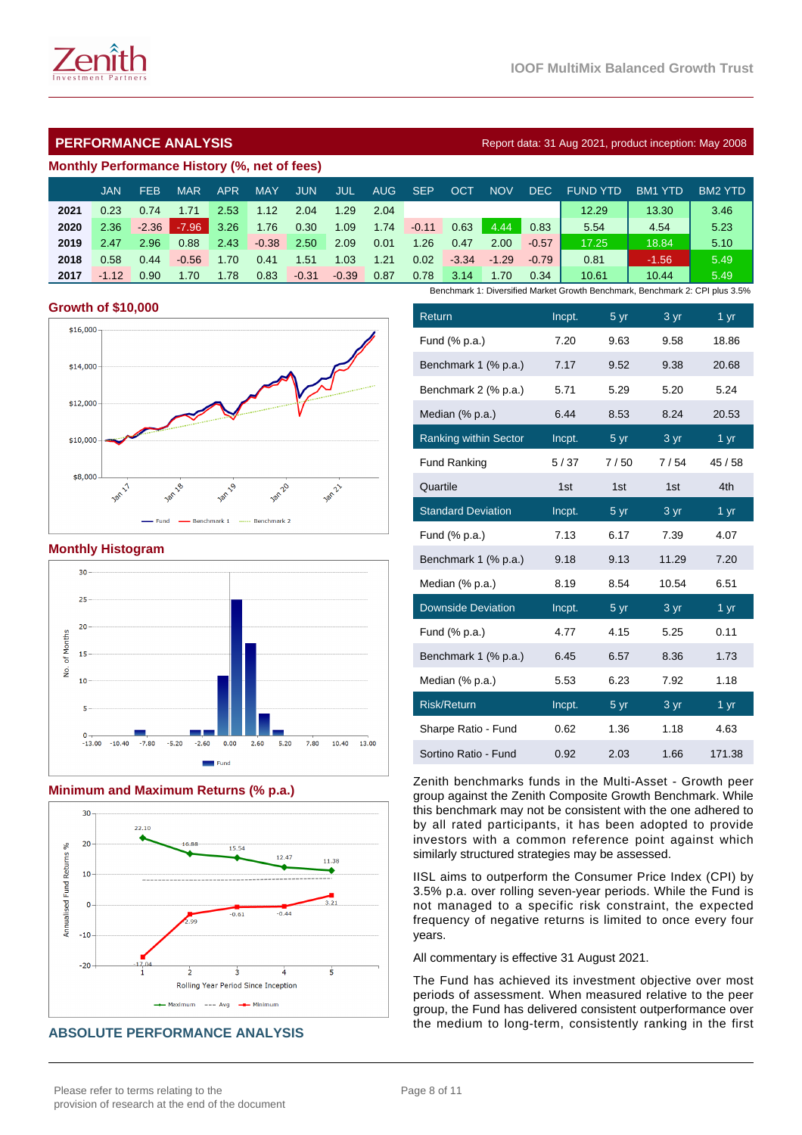# **PERFORMANCE ANALYSIS Report data: 31 Aug 2021, product inception: May 2008**

#### **Monthly Performance History (%, net of fees)**

|      | JAN     | <b>FEB</b> | <b>MAR</b> | APR  | <b>MAY</b> | JUN     | JUL     | AUG. | <b>SEP</b> | OCT     | <b>NOV</b> | DEC.    | <b>FUND YTD</b>                                                              | <b>BM1 YTD</b> | <b>BM2 YTD</b> |
|------|---------|------------|------------|------|------------|---------|---------|------|------------|---------|------------|---------|------------------------------------------------------------------------------|----------------|----------------|
| 2021 | 0.23    | 0.74       | 1.71       | 2.53 | 1.12       | 2.04    | 1.29    | 2.04 |            |         |            |         | 12.29                                                                        | 13.30          | 3.46           |
| 2020 | 2.36    | $-2.36$    | $-7.96$    | 3.26 | 1.76       | 0.30    | 1.09    | 1.74 | $-0.11$    | 0.63    | 4.44       | 0.83    | 5.54                                                                         | 4.54           | 5.23           |
| 2019 | 2.47    | 2.96       | 0.88       | 2.43 | $-0.38$    | 2.50    | 2.09    | 0.01 | 1.26       | 0.47    | 2.00       | $-0.57$ | 17.25                                                                        | 18.84          | 5.10           |
| 2018 | 0.58    | 0.44       | $-0.56$    | 1.70 | 0.41       | .51     | 0.03    | 1.21 | 0.02       | $-3.34$ | $-1.29$    | $-0.79$ | 0.81                                                                         | $-1.56$        | 5.49           |
| 2017 | $-1.12$ | 0.90       | 1.70       | 1.78 | 0.83       | $-0.31$ | $-0.39$ | 0.87 | 0.78       | 3.14    | 1.70       | 0.34    | 10.61                                                                        | 10.44          | 5.49           |
|      |         |            |            |      |            |         |         |      |            |         |            |         | Benchmark 1: Diversified Market Growth Benchmark, Benchmark 2: CPI plus 3.5% |                |                |

#### **Growth of \$10,000**



#### **Monthly Histogram**



#### **Minimum and Maximum Returns (% p.a.)**



**ABSOLUTE PERFORMANCE ANALYSIS**

| Return                       | Incpt. | $\overline{5}$ yr | $\frac{3}{ }$ yr  | $1 \,\mathrm{yr}$ |
|------------------------------|--------|-------------------|-------------------|-------------------|
| Fund (% p.a.)                | 7.20   | 9.63              | 9.58              | 18.86             |
| Benchmark 1 (% p.a.)         | 7.17   | 9.52              | 9.38              | 20.68             |
| Benchmark 2 (% p.a.)         | 5.71   | 5.29              | 5.20              | 5.24              |
| Median (% p.a.)              | 6.44   | 8.53              | 8.24              | 20.53             |
| <b>Ranking within Sector</b> | Incpt. | 5 <sub>yr</sub>   | 3 yr              | 1 yr              |
| <b>Fund Ranking</b>          | 5/37   | 7/50              | 7/54              | 45/58             |
| Quartile                     | 1st    | 1st               | 1st               | 4th               |
| <b>Standard Deviation</b>    | Incpt. | 5 yr              | 3 yr              | 1 yr              |
| Fund (% p.a.)                | 7.13   | 6.17              | 7.39              | 4.07              |
| Benchmark 1 (% p.a.)         | 9.18   | 9.13              | 11.29             | 7.20              |
| Median (% p.a.)              | 8.19   | 8.54              | 10.54             | 6.51              |
| <b>Downside Deviation</b>    | Incpt. | 5 yr              | 3 yr              | 1 yr              |
| Fund (% p.a.)                | 4.77   | 4.15              | 5.25              | 0.11              |
| Benchmark 1 (% p.a.)         | 6.45   | 6.57              | 8.36              | 1.73              |
| Median (% p.a.)              | 5.53   | 6.23              | 7.92              | 1.18              |
| <b>Risk/Return</b>           | Incpt. | $\frac{5}{ }$ yr  | $3 \overline{yr}$ | $1 \overline{yr}$ |
| Sharpe Ratio - Fund          | 0.62   | 1.36              | 1.18              | 4.63              |
| Sortino Ratio - Fund         | 0.92   | 2.03              | 1.66              | 171.38            |

Zenith benchmarks funds in the Multi-Asset - Growth peer group against the Zenith Composite Growth Benchmark. While this benchmark may not be consistent with the one adhered to by all rated participants, it has been adopted to provide investors with a common reference point against which similarly structured strategies may be assessed.

IISL aims to outperform the Consumer Price Index (CPI) by 3.5% p.a. over rolling seven-year periods. While the Fund is not managed to a specific risk constraint, the expected frequency of negative returns is limited to once every four years.

All commentary is effective 31 August 2021.

The Fund has achieved its investment objective over most periods of assessment. When measured relative to the peer group, the Fund has delivered consistent outperformance over the medium to long-term, consistently ranking in the first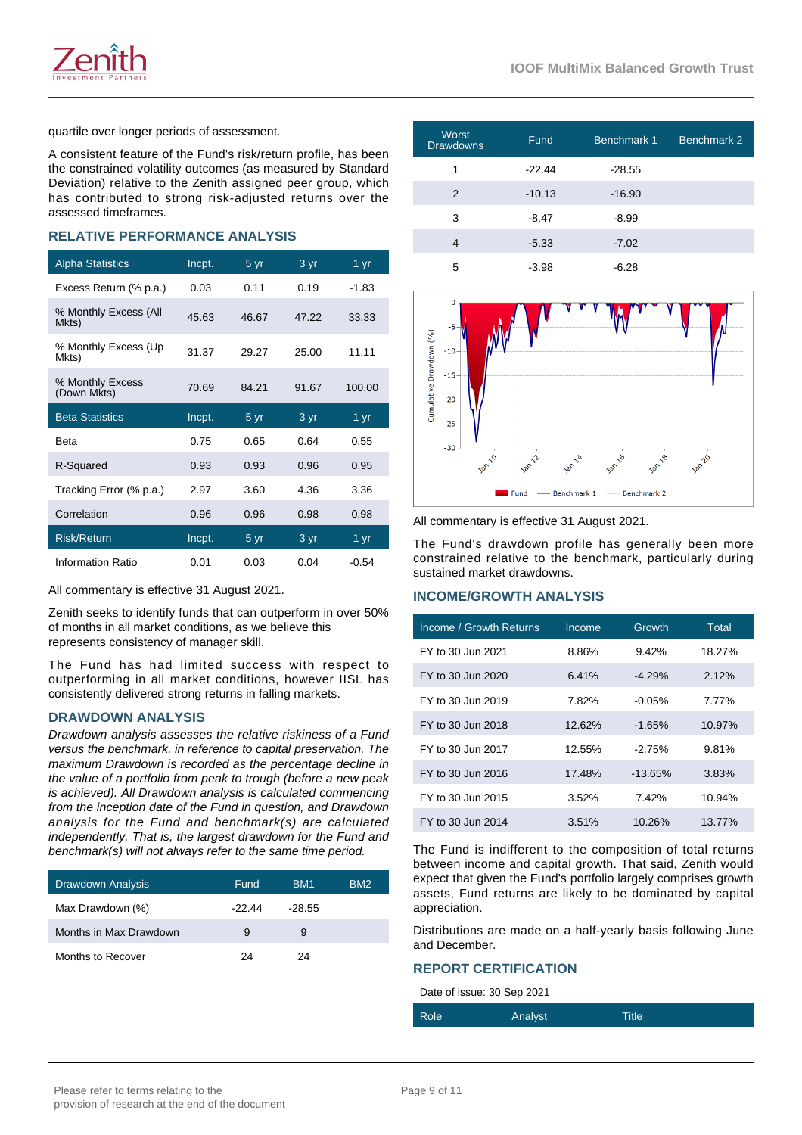

quartile over longer periods of assessment.

A consistent feature of the Fund's risk/return profile, has been the constrained volatility outcomes (as measured by Standard Deviation) relative to the Zenith assigned peer group, which has contributed to strong risk-adjusted returns over the assessed timeframes.

## **RELATIVE PERFORMANCE ANALYSIS**

| <b>Alpha Statistics</b>         | Incpt. | 5 yr  | 3 yr  | 1 yr    |
|---------------------------------|--------|-------|-------|---------|
| Excess Return (% p.a.)          | 0.03   | 0.11  | 0.19  | $-1.83$ |
| % Monthly Excess (All<br>Mkts)  | 45.63  | 46.67 | 47.22 | 33.33   |
| % Monthly Excess (Up<br>Mkts)   | 31.37  | 29.27 | 25.00 | 11.11   |
| % Monthly Excess<br>(Down Mkts) | 70.69  | 84.21 | 91.67 | 100.00  |
| <b>Beta Statistics</b>          | Incpt. | 5 yr  | 3 yr  | 1 yr    |
| Beta                            | 0.75   | 0.65  | 0.64  | 0.55    |
| R-Squared                       | 0.93   | 0.93  | 0.96  | 0.95    |
| Tracking Error (% p.a.)         | 2.97   | 3.60  | 4.36  | 3.36    |
| Correlation                     | 0.96   | 0.96  | 0.98  | 0.98    |
| <b>Risk/Return</b>              | Incpt. | 5 yr  | 3 yr  | 1 yr    |
| Information Ratio               | 0.01   | 0.03  | 0.04  | $-0.54$ |

All commentary is effective 31 August 2021.

Zenith seeks to identify funds that can outperform in over 50% of months in all market conditions, as we believe this represents consistency of manager skill.

The Fund has had limited success with respect to outperforming in all market conditions, however IISL has consistently delivered strong returns in falling markets.

#### **DRAWDOWN ANALYSIS**

Drawdown analysis assesses the relative riskiness of a Fund versus the benchmark, in reference to capital preservation. The maximum Drawdown is recorded as the percentage decline in the value of a portfolio from peak to trough (before a new peak is achieved). All Drawdown analysis is calculated commencing from the inception date of the Fund in question, and Drawdown analysis for the Fund and benchmark(s) are calculated independently. That is, the largest drawdown for the Fund and benchmark(s) will not always refer to the same time period.

| <b>Drawdown Analysis</b> | Fund   | BM <sub>1</sub> | BM <sub>2</sub> |
|--------------------------|--------|-----------------|-----------------|
| Max Drawdown (%)         | -22.44 | $-28.55$        |                 |
| Months in Max Drawdown   | 9      | 9               |                 |
| Months to Recover        | 24     | 24              |                 |

| <b>Worst</b><br><b>Drawdowns</b> | <b>Fund</b> | Benchmark 1 | Benchmark 2 |
|----------------------------------|-------------|-------------|-------------|
| 1                                | $-22.44$    | $-28.55$    |             |
| 2                                | $-10.13$    | $-16.90$    |             |
| 3                                | $-8.47$     | $-8.99$     |             |
| 4                                | $-5.33$     | $-7.02$     |             |
| 5                                | $-3.98$     | -6.28       |             |



All commentary is effective 31 August 2021.

The Fund's drawdown profile has generally been more constrained relative to the benchmark, particularly during sustained market drawdowns.

## **INCOME/GROWTH ANALYSIS**

| Income / Growth Returns | Income | Growth     | Total  |
|-------------------------|--------|------------|--------|
| FY to 30 Jun 2021       | 8.86%  | 9.42%      | 18.27% |
| FY to 30 Jun 2020       | 6.41%  | $-4.29%$   | 2.12%  |
| FY to 30 Jun 2019       | 7.82%  | $-0.05\%$  | 7.77%  |
| FY to 30 Jun 2018       | 12.62% | $-1.65%$   | 10.97% |
| FY to 30 Jun 2017       | 12.55% | $-2.75%$   | 9.81%  |
| FY to 30 Jun 2016       | 17.48% | $-13.65\%$ | 3.83%  |
| FY to 30 Jun 2015       | 3.52%  | 7.42%      | 10.94% |
| FY to 30 Jun 2014       | 3.51%  | 10.26%     | 13.77% |

The Fund is indifferent to the composition of total returns between income and capital growth. That said, Zenith would expect that given the Fund's portfolio largely comprises growth assets, Fund returns are likely to be dominated by capital appreciation.

Distributions are made on a half-yearly basis following June and December.

#### **REPORT CERTIFICATION**

Date of issue: 30 Sep 2021

| Role<br>Title<br>Analyst |
|--------------------------|
|--------------------------|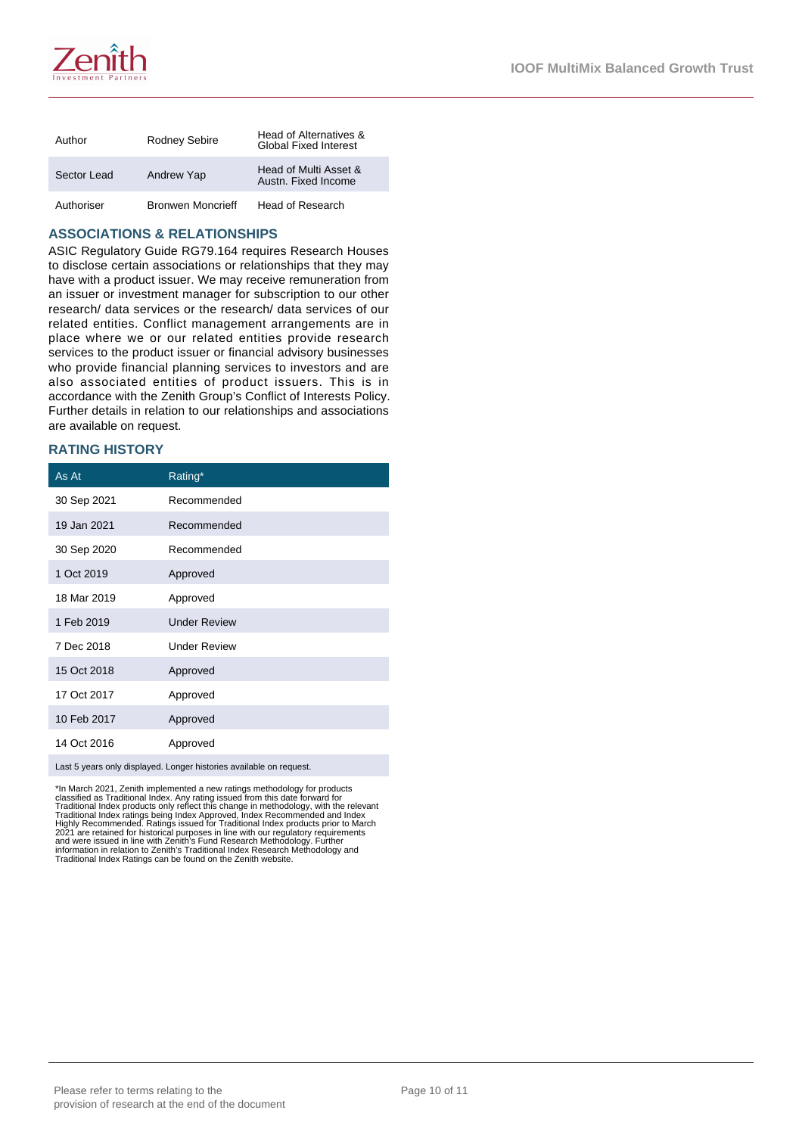

| Author      | Rodney Sebire            | Head of Alternatives &<br><b>Global Fixed Interest</b> |
|-------------|--------------------------|--------------------------------------------------------|
| Sector Lead | Andrew Yap               | Head of Multi Asset &<br>Austn. Fixed Income           |
| Authoriser  | <b>Bronwen Moncrieff</b> | Head of Research                                       |

#### **ASSOCIATIONS & RELATIONSHIPS**

ASIC Regulatory Guide RG79.164 requires Research Houses to disclose certain associations or relationships that they may have with a product issuer. We may receive remuneration from an issuer or investment manager for subscription to our other research/ data services or the research/ data services of our related entities. Conflict management arrangements are in place where we or our related entities provide research services to the product issuer or financial advisory businesses who provide financial planning services to investors and are also associated entities of product issuers. This is in accordance with the Zenith Group's Conflict of Interests Policy. Further details in relation to our relationships and associations are available on request.

## **RATING HISTORY**

| As At                                                               | Rating*             |  |
|---------------------------------------------------------------------|---------------------|--|
| 30 Sep 2021                                                         | Recommended         |  |
| 19 Jan 2021                                                         | Recommended         |  |
| 30 Sep 2020                                                         | Recommended         |  |
| 1 Oct 2019                                                          | Approved            |  |
| 18 Mar 2019                                                         | Approved            |  |
| 1 Feb 2019                                                          | <b>Under Review</b> |  |
| 7 Dec 2018                                                          | <b>Under Review</b> |  |
| 15 Oct 2018                                                         | Approved            |  |
| 17 Oct 2017                                                         | Approved            |  |
| 10 Feb 2017                                                         | Approved            |  |
| 14 Oct 2016                                                         | Approved            |  |
| Last 5 years only displayed. Longer histories available on request. |                     |  |

\*In March 2021, Zenith implemented a new ratings methodology for products<br>classified as Traditional Index. Any rating issued from this date forward for<br>Traditional Index products only reflect this change in methodology, wi information in relation to Zenith's Traditional Index Research Methodology and Traditional Index Ratings can be found on the Zenith website.